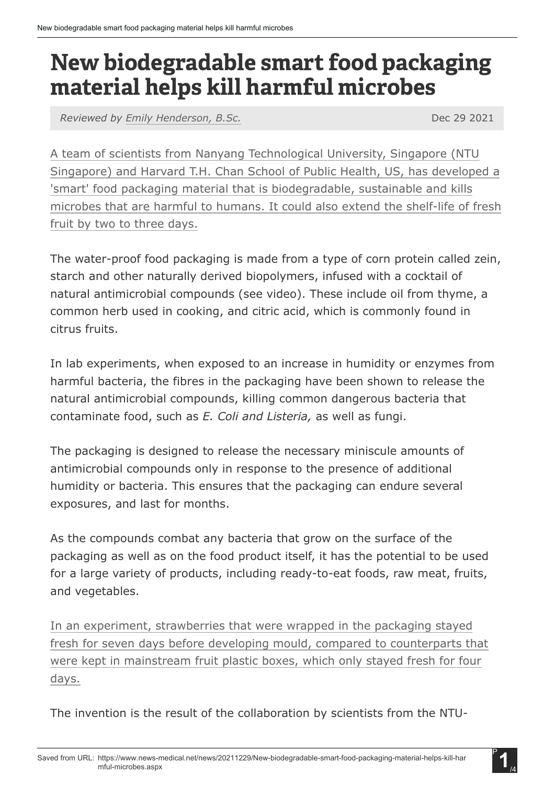## New biodegradable smart food packaging material helps kill harmful microbes

*Reviewed by [Emily Henderson, B.Sc.](https://www.news-medical.net/life-sciences/authors/emily-henderson)* Dec 29 2021

A team of scientists from Nanyang Technological University, Singapore (NTU Singapore) and Harvard T.H. Chan School of Public Health, US, has developed a 'smart' food packaging material that is biodegradable, sustainable and kills microbes that are harmful to humans. It could also extend the shelf-life of fresh fruit by two to three days.

The water-proof food packaging is made from a type of corn protein called zein, starch and other naturally derived biopolymers, infused with a cocktail of natural antimicrobial compounds (see video). These include oil from thyme, a common herb used in cooking, and citric acid, which is commonly found in citrus fruits.

In lab experiments, when exposed to an increase in humidity or enzymes from harmful bacteria, the fibres in the packaging have been shown to release the natural antimicrobial compounds, killing common dangerous bacteria that contaminate food, such as *E. Coli and Listeria,* as well as fungi.

The packaging is designed to release the necessary miniscule amounts of antimicrobial compounds only in response to the presence of additional humidity or bacteria. This ensures that the packaging can endure several exposures, and last for months.

As the compounds combat any bacteria that grow on the surface of the packaging as well as on the food product itself, it has the potential to be used for a large variety of products, including ready-to-eat foods, raw meat, fruits, and vegetables.

In an experiment, strawberries that were wrapped in the packaging stayed fresh for seven days before developing mould, compared to counterparts that were kept in mainstream fruit plastic boxes, which only stayed fresh for four days.

The invention is the result of the collaboration by scientists from the NTU-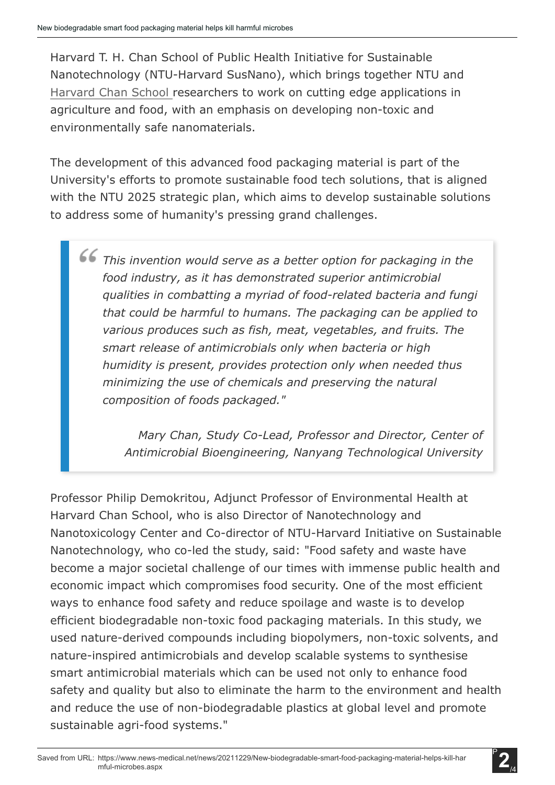Harvard T. H. Chan School of Public Health Initiative for Sustainable Nanotechnology (NTU-Harvard SusNano), which brings together NTU and Harvard Chan School researchers to work on cutting edge applications in agriculture and food, with an emphasis on developing non-toxic and environmentally safe nanomaterials.

The development of this advanced food packaging material is part of the University's efforts to promote sustainable food tech solutions, that is aligned with the NTU 2025 strategic plan, which aims to develop sustainable solutions to address some of humanity's pressing grand challenges.

*This invention would serve as a better option for packaging in the food industry, as it has demonstrated superior antimicrobial qualities in combatting a myriad of food-related bacteria and fungi that could be harmful to humans. The packaging can be applied to various produces such as fish, meat, vegetables, and fruits. The smart release of antimicrobials only when bacteria or high humidity is present, provides protection only when needed thus minimizing the use of chemicals and preserving the natural composition of foods packaged."*

> *Mary Chan, Study Co-Lead, Professor and Director, Center of Antimicrobial Bioengineering, Nanyang Technological University*

Professor Philip Demokritou, Adjunct Professor of Environmental Health at Harvard Chan School, who is also Director of Nanotechnology and Nanotoxicology Center and Co-director of NTU-Harvard Initiative on Sustainable Nanotechnology, who co-led the study, said: "Food safety and waste have become a major societal challenge of our times with immense public health and economic impact which compromises food security. One of the most efficient ways to enhance food safety and reduce spoilage and waste is to develop efficient biodegradable non-toxic food packaging materials. In this study, we used nature-derived compounds including biopolymers, non-toxic solvents, and nature-inspired antimicrobials and develop scalable systems to synthesise smart antimicrobial materials which can be used not only to enhance food safety and quality but also to eliminate the harm to the environment and health and reduce the use of non-biodegradable plastics at global level and promote sustainable agri-food systems."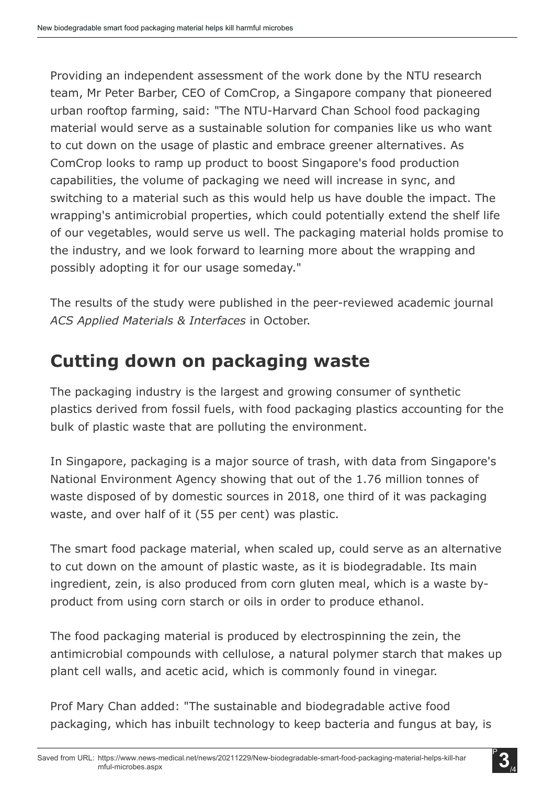Providing an independent assessment of the work done by the NTU research team, Mr Peter Barber, CEO of ComCrop, a Singapore company that pioneered urban rooftop farming, said: "The NTU-Harvard Chan School food packaging material would serve as a sustainable solution for companies like us who want to cut down on the usage of plastic and embrace greener alternatives. As ComCrop looks to ramp up product to boost Singapore's food production capabilities, the volume of packaging we need will increase in sync, and switching to a material such as this would help us have double the impact. The wrapping's antimicrobial properties, which could potentially extend the shelf life of our vegetables, would serve us well. The packaging material holds promise to the industry, and we look forward to learning more about the wrapping and possibly adopting it for our usage someday."

The results of the study were published in the peer-reviewed academic journal *ACS Applied Materials & Interfaces* in October.

## **Cutting down on packaging waste**

The packaging industry is the largest and growing consumer of synthetic plastics derived from fossil fuels, with food packaging plastics accounting for the bulk of plastic waste that are polluting the environment.

In Singapore, packaging is a major source of trash, with data from Singapore's National Environment Agency showing that out of the 1.76 million tonnes of waste disposed of by domestic sources in 2018, one third of it was packaging waste, and over half of it (55 per cent) was plastic.

The smart food package material, when scaled up, could serve as an alternative to cut down on the amount of plastic waste, as it is biodegradable. Its main ingredient, zein, is also produced from corn gluten meal, which is a waste byproduct from using corn starch or oils in order to produce ethanol.

The food packaging material is produced by electrospinning the zein, the antimicrobial compounds with cellulose, a natural polymer starch that makes up plant cell walls, and acetic acid, which is commonly found in vinegar.

Prof Mary Chan added: "The sustainable and biodegradable active food packaging, which has inbuilt technology to keep bacteria and fungus at bay, is